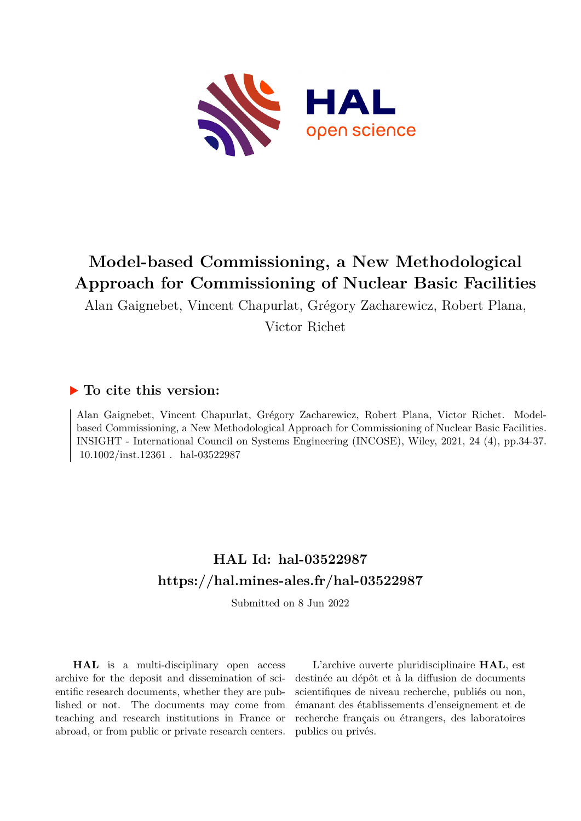

## **Model-based Commissioning, a New Methodological Approach for Commissioning of Nuclear Basic Facilities**

Alan Gaignebet, Vincent Chapurlat, Grégory Zacharewicz, Robert Plana, Victor Richet

### **To cite this version:**

Alan Gaignebet, Vincent Chapurlat, Grégory Zacharewicz, Robert Plana, Victor Richet. Modelbased Commissioning, a New Methodological Approach for Commissioning of Nuclear Basic Facilities. INSIGHT - International Council on Systems Engineering (INCOSE), Wiley, 2021, 24 (4), pp.34-37.  $10.1002/$ inst.12361. hal-03522987

## **HAL Id: hal-03522987 <https://hal.mines-ales.fr/hal-03522987>**

Submitted on 8 Jun 2022

**HAL** is a multi-disciplinary open access archive for the deposit and dissemination of scientific research documents, whether they are published or not. The documents may come from teaching and research institutions in France or abroad, or from public or private research centers.

L'archive ouverte pluridisciplinaire **HAL**, est destinée au dépôt et à la diffusion de documents scientifiques de niveau recherche, publiés ou non, émanant des établissements d'enseignement et de recherche français ou étrangers, des laboratoires publics ou privés.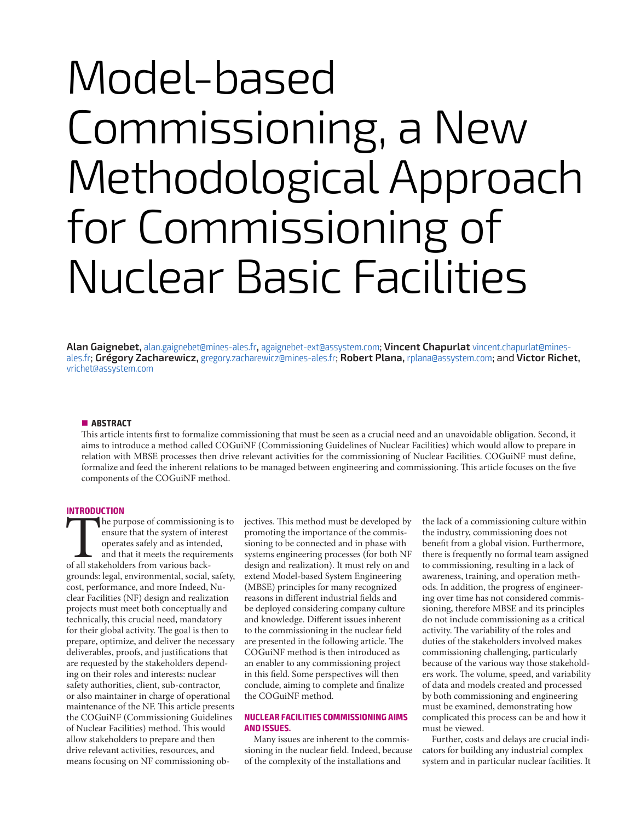# Model-based Commissioning, a New Methodological Approach for Commissioning of Nuclear Basic Facilities

**Alan Gaignebet,** alan.gaignebet@mines-ales.fr**,** agaignebet-ext@assystem.com; **Vincent Chapurlat** vincent.chapurlat@minesales.fr; **Grégory Zacharewicz,** gregory.zacharewicz@mines-ales.fr; **Robert Plana,** rplana@assystem.com; and **Victor Richet,**  vrichet@assystem.com

#### **ABSTRACT**

This article intents first to formalize commissioning that must be seen as a crucial need and an unavoidable obligation. Second, it aims to introduce a method called COGuiNF (Commissioning Guidelines of Nuclear Facilities) which would allow to prepare in relation with MBSE processes then drive relevant activities for the commissioning of Nuclear Facilities. COGuiNF must define, formalize and feed the inherent relations to be managed between engineering and commissioning. This article focuses on the five components of the COGuiNF method.

#### **INTRODUCTION**

The purpose of commissioning is to ensure that the system of interest operates safely and as intended, and that it meets the requirements of all stakeholders from various backensure that the system of interest operates safely and as intended, and that it meets the requirements grounds: legal, environmental, social, safety, cost, performance, and more Indeed, Nuclear Facilities (NF) design and realization projects must meet both conceptually and technically, this crucial need, mandatory for their global activity. The goal is then to prepare, optimize, and deliver the necessary deliverables, proofs, and justifications that are requested by the stakeholders depending on their roles and interests: nuclear safety authorities, client, sub-contractor, or also maintainer in charge of operational maintenance of the NF. This article presents the COGuiNF (Commissioning Guidelines of Nuclear Facilities) method. This would allow stakeholders to prepare and then drive relevant activities, resources, and means focusing on NF commissioning ob-

jectives. This method must be developed by promoting the importance of the commissioning to be connected and in phase with systems engineering processes (for both NF design and realization). It must rely on and extend Model-based System Engineering (MBSE) principles for many recognized reasons in different industrial fields and be deployed considering company culture and knowledge. Different issues inherent to the commissioning in the nuclear field are presented in the following article. The COGuiNF method is then introduced as an enabler to any commissioning project in this field. Some perspectives will then conclude, aiming to complete and finalize the COGuiNF method.

#### **NUCLEAR FACILITIES COMMISSIONING AIMS AND ISSUES.**

Many issues are inherent to the commissioning in the nuclear field. Indeed, because of the complexity of the installations and

the lack of a commissioning culture within the industry, commissioning does not benefit from a global vision. Furthermore, there is frequently no formal team assigned to commissioning, resulting in a lack of awareness, training, and operation methods. In addition, the progress of engineering over time has not considered commissioning, therefore MBSE and its principles do not include commissioning as a critical activity. The variability of the roles and duties of the stakeholders involved makes commissioning challenging, particularly because of the various way those stakeholders work. The volume, speed, and variability of data and models created and processed by both commissioning and engineering must be examined, demonstrating how complicated this process can be and how it must be viewed.

Further, costs and delays are crucial indicators for building any industrial complex system and in particular nuclear facilities. It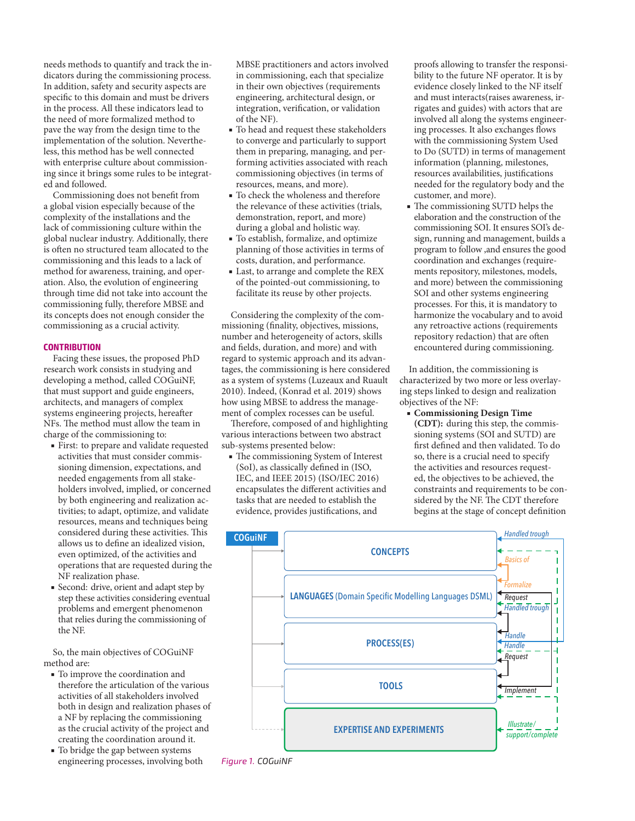needs methods to quantify and track the indicators during the commissioning process. In addition, safety and security aspects are specific to this domain and must be drivers in the process. All these indicators lead to the need of more formalized method to pave the way from the design time to the implementation of the solution. Nevertheless, this method has be well connected with enterprise culture about commissioning since it brings some rules to be integrated and followed.

Commissioning does not benefit from a global vision especially because of the complexity of the installations and the lack of commissioning culture within the global nuclear industry. Additionally, there is often no structured team allocated to the commissioning and this leads to a lack of method for awareness, training, and operation. Also, the evolution of engineering through time did not take into account the commissioning fully, therefore MBSE and its concepts does not enough consider the commissioning as a crucial activity.

#### **CONTRIBUTION**

Facing these issues, the proposed PhD research work consists in studying and developing a method, called COGuiNF, that must support and guide engineers, architects, and managers of complex systems engineering projects, hereafter NFs. The method must allow the team in charge of the commissioning to:

- First: to prepare and validate requested activities that must consider commissioning dimension, expectations, and needed engagements from all stakeholders involved, implied, or concerned by both engineering and realization activities; to adapt, optimize, and validate resources, means and techniques being considered during these activities. This allows us to define an idealized vision, even optimized, of the activities and operations that are requested during the NF realization phase.
- Second: drive, orient and adapt step by step these activities considering eventual problems and emergent phenomenon that relies during the commissioning of the NF.

So, the main objectives of COGuiNF method are:

- To improve the coordination and therefore the articulation of the various activities of all stakeholders involved both in design and realization phases of a NF by replacing the commissioning as the crucial activity of the project and creating the coordination around it.
- To bridge the gap between systems engineering processes, involving both

MBSE practitioners and actors involved in commissioning, each that specialize in their own objectives (requirements engineering, architectural design, or integration, verification, or validation of the NF).

- To head and request these stakeholders to converge and particularly to support them in preparing, managing, and performing activities associated with reach commissioning objectives (in terms of resources, means, and more).
- To check the wholeness and therefore the relevance of these activities (trials, demonstration, report, and more) during a global and holistic way.
- To establish, formalize, and optimize planning of those activities in terms of costs, duration, and performance.
- Last, to arrange and complete the REX of the pointed-out commissioning, to facilitate its reuse by other projects.

Considering the complexity of the commissioning (finality, objectives, missions, number and heterogeneity of actors, skills and fields, duration, and more) and with regard to systemic approach and its advantages, the commissioning is here considered as a system of systems (Luzeaux and Ruault 2010). Indeed, (Konrad et al. 2019) shows how using MBSE to address the management of complex rocesses can be useful.

Therefore, composed of and highlighting various interactions between two abstract sub-systems presented below:

■ The commissioning System of Interest (SoI), as classically defined in (ISO, IEC, and IEEE 2015) (ISO/IEC 2016) encapsulates the different activities and tasks that are needed to establish the evidence, provides justifications, and

proofs allowing to transfer the responsibility to the future NF operator. It is by evidence closely linked to the NF itself and must interacts(raises awareness, irrigates and guides) with actors that are involved all along the systems engineering processes. It also exchanges flows with the commissioning System Used to Do (SUTD) in terms of management information (planning, milestones, resources availabilities, justifications needed for the regulatory body and the customer, and more).

■ The commissioning SUTD helps the elaboration and the construction of the commissioning SOI. It ensures SOI's design, running and management, builds a program to follow ,and ensures the good coordination and exchanges (requirements repository, milestones, models, and more) between the commissioning SOI and other systems engineering processes. For this, it is mandatory to harmonize the vocabulary and to avoid any retroactive actions (requirements repository redaction) that are often encountered during commissioning.

In addition, the commissioning is characterized by two more or less overlaying steps linked to design and realization objectives of the NF:

■ **Commissioning Design Time (CDT):** during this step, the commissioning systems (SOI and SUTD) are first defined and then validated. To do so, there is a crucial need to specify the activities and resources requested, the objectives to be achieved, the constraints and requirements to be considered by the NF. The CDT therefore begins at the stage of concept definition



*Figure 1. COGuiNF*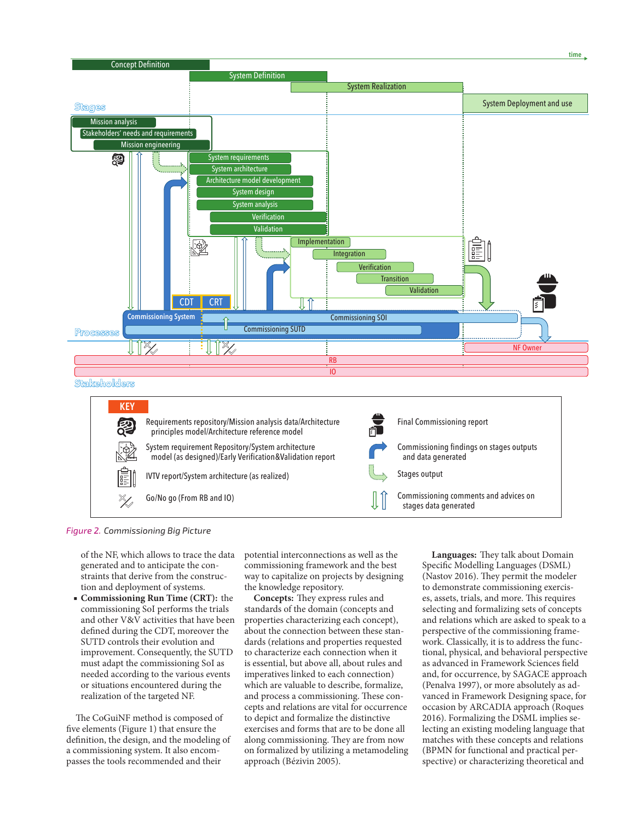

Go/No go (From RB and IO)

Commissioning comments and advices on stages data generated

*Figure 2. Commissioning Big Picture*

of the NF, which allows to trace the data generated and to anticipate the constraints that derive from the construction and deployment of systems.

■ **Commissioning Run Time (CRT):** the commissioning SoI performs the trials and other V&V activities that have been defined during the CDT, moreover the SUTD controls their evolution and improvement. Consequently, the SUTD must adapt the commissioning SoI as needed according to the various events or situations encountered during the realization of the targeted NF.

The CoGuiNF method is composed of five elements (Figure 1) that ensure the definition, the design, and the modeling of a commissioning system. It also encompasses the tools recommended and their

potential interconnections as well as the commissioning framework and the best way to capitalize on projects by designing the knowledge repository.

**Concepts:** They express rules and standards of the domain (concepts and properties characterizing each concept), about the connection between these standards (relations and properties requested to characterize each connection when it is essential, but above all, about rules and imperatives linked to each connection) which are valuable to describe, formalize, and process a commissioning. These concepts and relations are vital for occurrence to depict and formalize the distinctive exercises and forms that are to be done all along commissioning. They are from now on formalized by utilizing a metamodeling approach (Bézivin 2005).

**Languages:** They talk about Domain Specific Modelling Languages (DSML) (Nastov 2016). They permit the modeler to demonstrate commissioning exercises, assets, trials, and more. This requires selecting and formalizing sets of concepts and relations which are asked to speak to a perspective of the commissioning framework. Classically, it is to address the functional, physical, and behavioral perspective as advanced in Framework Sciences field and, for occurrence, by SAGACE approach (Penalva 1997), or more absolutely as advanced in Framework Designing space, for occasion by ARCADIA approach (Roques 2016). Formalizing the DSML implies selecting an existing modeling language that matches with these concepts and relations (BPMN for functional and practical perspective) or characterizing theoretical and